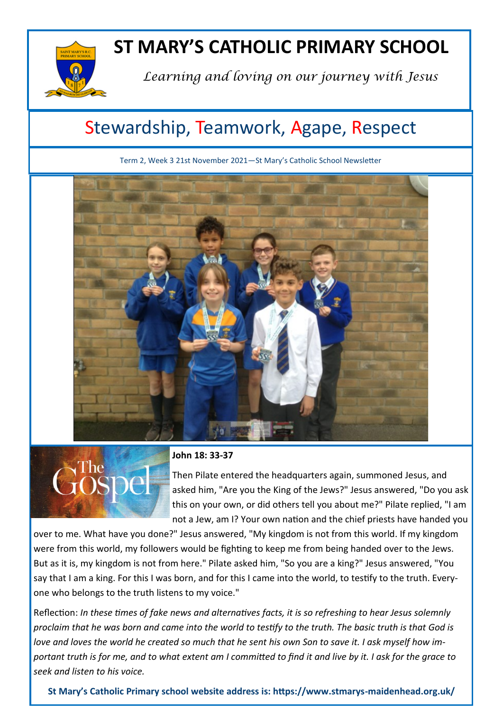

# **ST MARY'S CATHOLIC PRIMARY SCHOOL**

*Learning and loving on our journey with Jesus*

## Stewardship, Teamwork, Agape, Respect

Term 2, Week 3 21st November 2021—St Mary's Catholic School Newsletter





### **John 18: 33-37**

Then Pilate entered the headquarters again, summoned Jesus, and asked him, "Are you the King of the Jews?" Jesus answered, "Do you ask this on your own, or did others tell you about me?" Pilate replied, "I am not a Jew, am I? Your own nation and the chief priests have handed you

over to me. What have you done?" Jesus answered, "My kingdom is not from this world. If my kingdom were from this world, my followers would be fighting to keep me from being handed over to the Jews. But as it is, my kingdom is not from here." Pilate asked him, "So you are a king?" Jesus answered, "You say that I am a king. For this I was born, and for this I came into the world, to testify to the truth. Everyone who belongs to the truth listens to my voice."

Reflection: *In these times of fake news and alternatives facts, it is so refreshing to hear Jesus solemnly proclaim that he was born and came into the world to testify to the truth. The basic truth is that God is love and loves the world he created so much that he sent his own Son to save it. I ask myself how important truth is for me, and to what extent am I committed to find it and live by it. I ask for the grace to seek and listen to his voice.*

**St Mary's Catholic Primary school website address is: https://www.stmarys-maidenhead.org.uk/**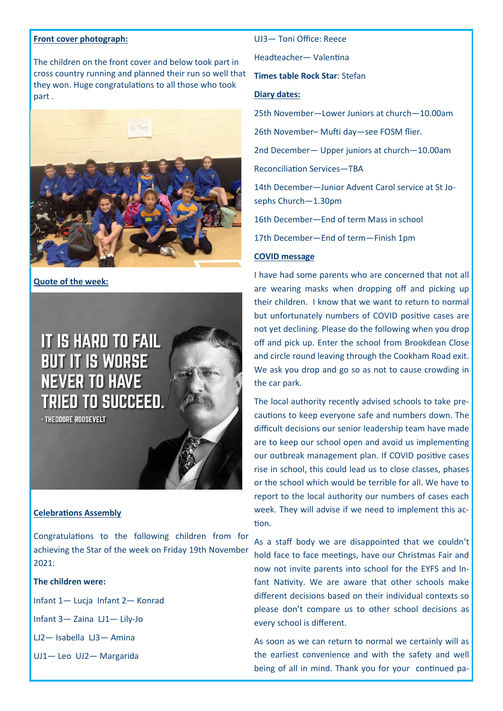#### **Front cover photograph:**

The children on the front cover and below took part in cross country running and planned their run so well that they won. Huge congratulations to all those who took part .



#### **Quote of the week:**



#### **Celebrations Assembly**

Congratulations to the following children from for achieving the Star of the week on Friday 19th November 2021:

### **The children were:**

- Infant 1— Lucja Infant 2— Konrad
- Infant 3— Zaina LJ1— Lily-Jo
- LJ2— Isabella LJ3— Amina
- UJ1— Leo UJ2— Margarida

#### UJ3— Toni Office: Reece

Headteacher— Valentina

**Times table Rock Star**: Stefan

#### **Diary dates:**

25th November—Lower Juniors at church—10.00am

26th November– Mufti day—see FOSM flier.

2nd December— Upper juniors at church—10.00am

Reconciliation Services—TBA

14th December—Junior Advent Carol service at St Josephs Church—1.30pm

16th December—End of term Mass in school

17th December—End of term—Finish 1pm

#### **COVID message**

I have had some parents who are concerned that not all are wearing masks when dropping off and picking up their children. I know that we want to return to normal but unfortunately numbers of COVID positive cases are not yet declining. Please do the following when you drop off and pick up. Enter the school from Brookdean Close and circle round leaving through the Cookham Road exit. We ask you drop and go so as not to cause crowding in the car park.

The local authority recently advised schools to take precautions to keep everyone safe and numbers down. The difficult decisions our senior leadership team have made are to keep our school open and avoid us implementing our outbreak management plan. If COVID positive cases rise in school, this could lead us to close classes, phases or the school which would be terrible for all. We have to report to the local authority our numbers of cases each week. They will advise if we need to implement this action.

As a staff body we are disappointed that we couldn't hold face to face meetings, have our Christmas Fair and now not invite parents into school for the EYFS and Infant Nativity. We are aware that other schools make different decisions based on their individual contexts so please don't compare us to other school decisions as every school is different.

As soon as we can return to normal we certainly will as the earliest convenience and with the safety and well being of all in mind. Thank you for your continued pa